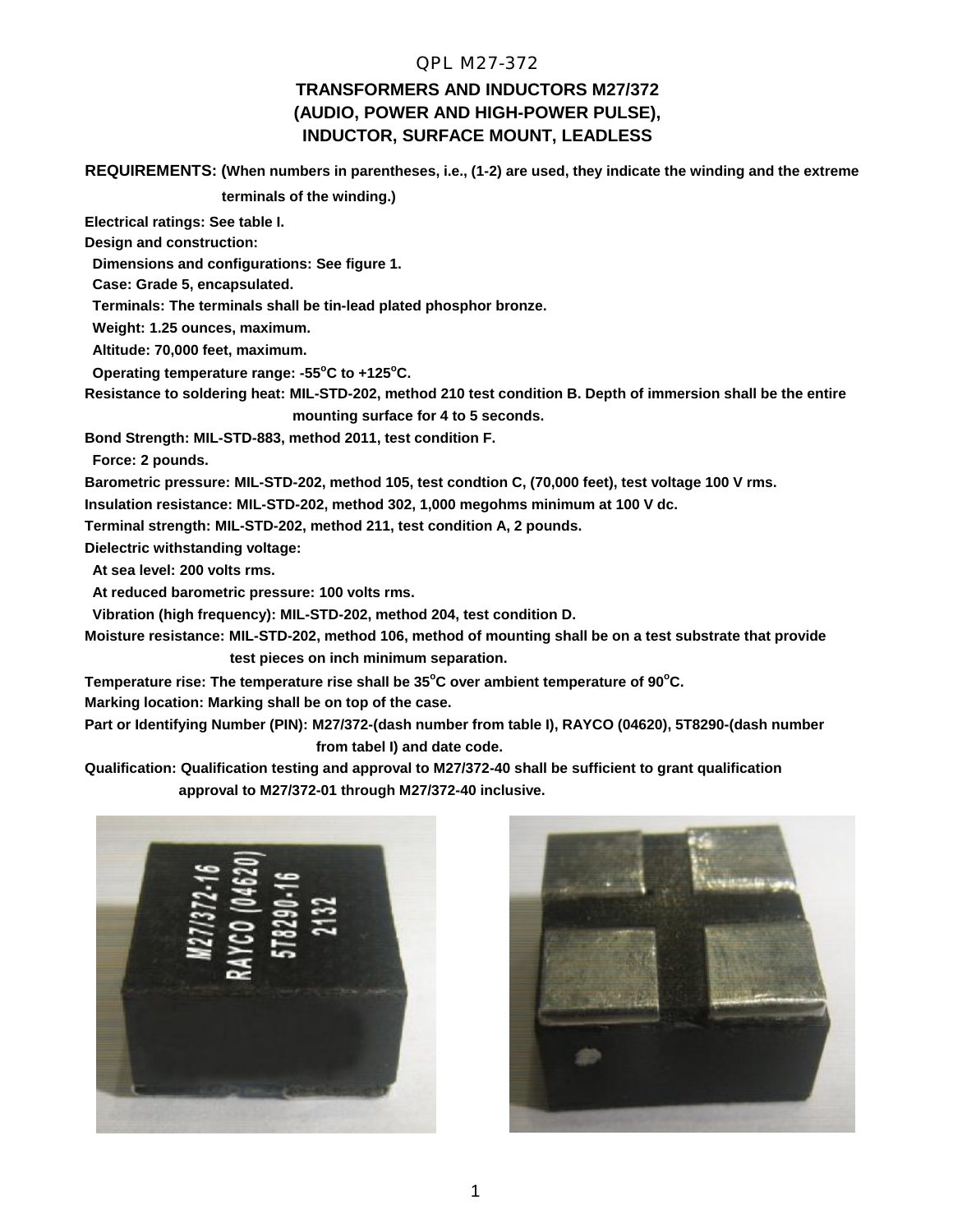#### QPL M27-372

# **TRANSFORMERS AND INDUCTORS M27/372 (AUDIO, POWER AND HIGH-POWER PULSE), INDUCTOR, SURFACE MOUNT, LEADLESS**

**REQUIREMENTS: (When numbers in parentheses, i.e., (1-2) are used, they indicate the winding and the extreme**

 **terminals of the winding.)**

**Electrical ratings: See table I.**

**Design and construction:**

 **Dimensions and configurations: See figure 1.**

 **Case: Grade 5, encapsulated.**

 **Terminals: The terminals shall be tin-lead plated phosphor bronze.**

 **Weight: 1.25 ounces, maximum.**

 **Altitude: 70,000 feet, maximum.**

 **Operating temperature range: -55<sup>o</sup>C to +125<sup>o</sup>C.**

**Resistance to soldering heat: MIL-STD-202, method 210 test condition B. Depth of immersion shall be the entire mounting surface for 4 to 5 seconds.**

**Bond Strength: MIL-STD-883, method 2011, test condition F.**

 **Force: 2 pounds.**

**Barometric pressure: MIL-STD-202, method 105, test condtion C, (70,000 feet), test voltage 100 V rms.**

**Insulation resistance: MIL-STD-202, method 302, 1,000 megohms minimum at 100 V dc.**

**Terminal strength: MIL-STD-202, method 211, test condition A, 2 pounds.**

**Dielectric withstanding voltage:**

 **At sea level: 200 volts rms.**

 **At reduced barometric pressure: 100 volts rms.**

 **Vibration (high frequency): MIL-STD-202, method 204, test condition D.**

**Moisture resistance: MIL-STD-202, method 106, method of mounting shall be on a test substrate that provide test pieces on inch minimum separation.**

**Temperature rise: The temperature rise shall be 35<sup>o</sup>C over ambient temperature of 90<sup>o</sup>C.**

**Marking location: Marking shall be on top of the case.**

**Part or Identifying Number (PIN): M27/372-(dash number from table I), RAYCO (04620), 5T8290-(dash number from tabel I) and date code.**

**Qualification: Qualification testing and approval to M27/372-40 shall be sufficient to grant qualification approval to M27/372-01 through M27/372-40 inclusive.**



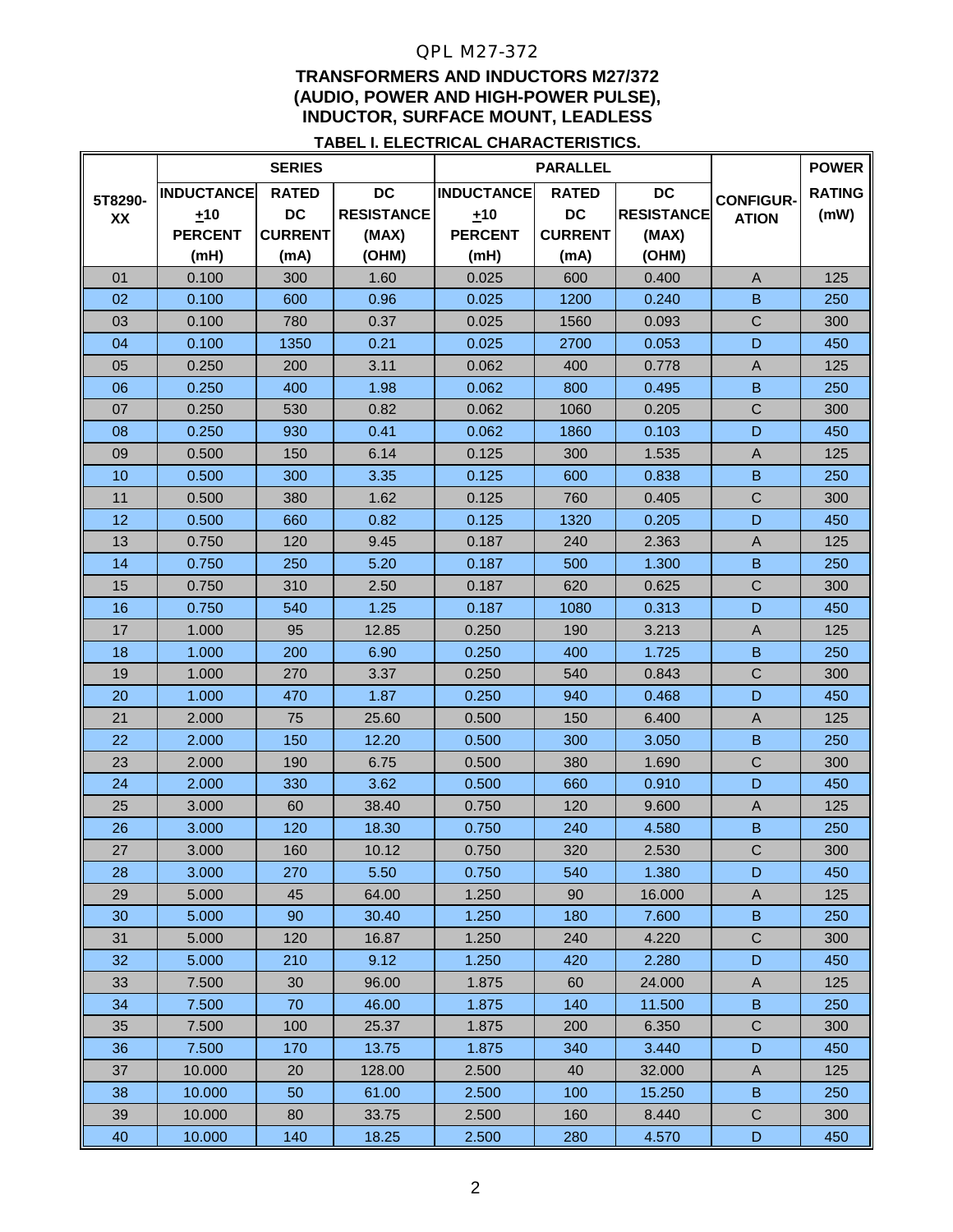## QPL M27-372

## **TRANSFORMERS AND INDUCTORS M27/372 (AUDIO, POWER AND HIGH-POWER PULSE), INDUCTOR, SURFACE MOUNT, LEADLESS**

#### **TABEL I. ELECTRICAL CHARACTERISTICS.**

|               | <b>SERIES</b>     |                |                   | <b>PARALLEL</b>   |                |                   |                  | <b>POWER</b>  |
|---------------|-------------------|----------------|-------------------|-------------------|----------------|-------------------|------------------|---------------|
| 5T8290-<br>XX | <b>INDUCTANCE</b> | <b>RATED</b>   | <b>DC</b>         | <b>INDUCTANCE</b> | <b>RATED</b>   | <b>DC</b>         | <b>CONFIGUR-</b> | <b>RATING</b> |
|               | ±10               | <b>DC</b>      | <b>RESISTANCE</b> | ±10               | <b>DC</b>      | <b>RESISTANCE</b> | <b>ATION</b>     | (mW)          |
|               | <b>PERCENT</b>    | <b>CURRENT</b> | (MAX)             | <b>PERCENT</b>    | <b>CURRENT</b> | (MAX)             |                  |               |
|               | (mH)              | (mA)           | (OHM)             | (mH)              | (mA)           | (OHM)             |                  |               |
| 01            | 0.100             | 300            | 1.60              | 0.025             | 600            | 0.400             | $\overline{A}$   | 125           |
| 02            | 0.100             | 600            | 0.96              | 0.025             | 1200           | 0.240             | B                | 250           |
| 03            | 0.100             | 780            | 0.37              | 0.025             | 1560           | 0.093             | $\mathsf C$      | 300           |
| 04            | 0.100             | 1350           | 0.21              | 0.025             | 2700           | 0.053             | D                | 450           |
| 05            | 0.250             | 200            | 3.11              | 0.062             | 400            | 0.778             | $\overline{A}$   | 125           |
| 06            | 0.250             | 400            | 1.98              | 0.062             | 800            | 0.495             | B                | 250           |
| 07            | 0.250             | 530            | 0.82              | 0.062             | 1060           | 0.205             | $\mathsf{C}$     | 300           |
| 08            | 0.250             | 930            | 0.41              | 0.062             | 1860           | 0.103             | D                | 450           |
| 09            | 0.500             | 150            | 6.14              | 0.125             | 300            | 1.535             | $\mathsf{A}$     | 125           |
| 10            | 0.500             | 300            | 3.35              | 0.125             | 600            | 0.838             | B                | 250           |
| 11            | 0.500             | 380            | 1.62              | 0.125             | 760            | 0.405             | $\mathsf C$      | 300           |
| 12            | 0.500             | 660            | 0.82              | 0.125             | 1320           | 0.205             | D                | 450           |
| 13            | 0.750             | 120            | 9.45              | 0.187             | 240            | 2.363             | $\mathsf{A}$     | 125           |
| 14            | 0.750             | 250            | 5.20              | 0.187             | 500            | 1.300             | $\overline{B}$   | 250           |
| 15            | 0.750             | 310            | 2.50              | 0.187             | 620            | 0.625             | $\mathsf{C}$     | 300           |
| 16            | 0.750             | 540            | 1.25              | 0.187             | 1080           | 0.313             | D                | 450           |
| 17            | 1.000             | 95             | 12.85             | 0.250             | 190            | 3.213             | A                | 125           |
| 18            | 1.000             | 200            | 6.90              | 0.250             | 400            | 1.725             | $\overline{B}$   | 250           |
| 19            | 1.000             | 270            | 3.37              | 0.250             | 540            | 0.843             | $\mathsf C$      | 300           |
| 20            | 1.000             | 470            | 1.87              | 0.250             | 940            | 0.468             | D                | 450           |
| 21            | 2.000             | 75             | 25.60             | 0.500             | 150            | 6.400             | $\overline{A}$   | 125           |
| 22            | 2.000             | 150            | 12.20             | 0.500             | 300            | 3.050             | B                | 250           |
| 23            | 2.000             | 190            | 6.75              | 0.500             | 380            | 1.690             | $\mathsf C$      | 300           |
| 24            | 2.000             | 330            | 3.62              | 0.500             | 660            | 0.910             | D                | 450           |
| 25            | 3.000             | 60             | 38.40             | 0.750             | 120            | 9.600             | A                | 125           |
| 26            | 3.000             | 120            | 18.30             | 0.750             | 240            | 4.580             | $\overline{B}$   | 250           |
| 27            | 3.000             | 160            | 10.12             | 0.750             | 320            | 2.530             | $\mathsf C$      | 300           |
| 28            | 3.000             | 270            | 5.50              | 0.750             | 540            | 1.380             | D                | 450           |
| 29            | 5.000             | 45             | 64.00             | 1.250             | 90             | 16.000            | A                | 125           |
| 30            | 5.000             | 90             | 30.40             | 1.250             | 180            | 7.600             | B                | 250           |
| 31            | 5.000             | 120            | 16.87             | 1.250             | 240            | 4.220             | ${\bf C}$        | 300           |
| 32            | 5.000             | 210            | 9.12              | 1.250             | 420            | 2.280             | D                | 450           |
| 33            | 7.500             | 30             | 96.00             | 1.875             | 60             | 24.000            | A                | 125           |
| 34            | 7.500             | 70             | 46.00             | 1.875             | 140            | 11.500            | B                | 250           |
| 35            | 7.500             | 100            | 25.37             | 1.875             | 200            | 6.350             | $\mathbf C$      | 300           |
| 36            | 7.500             | 170            | 13.75             | 1.875             | 340            | 3.440             | $\mathsf D$      | 450           |
| 37            | 10.000            | 20             | 128.00            | 2.500             | 40             | 32.000            | A                | 125           |
| 38            | 10.000            | 50             | 61.00             | 2.500             | 100            | 15.250            | $\sf B$          | 250           |
| 39            | 10.000            | 80             | 33.75             | 2.500             | 160            | 8.440             | C                | 300           |
| 40            | 10.000            | 140            | 18.25             | 2.500             | 280            | 4.570             | D                | 450           |